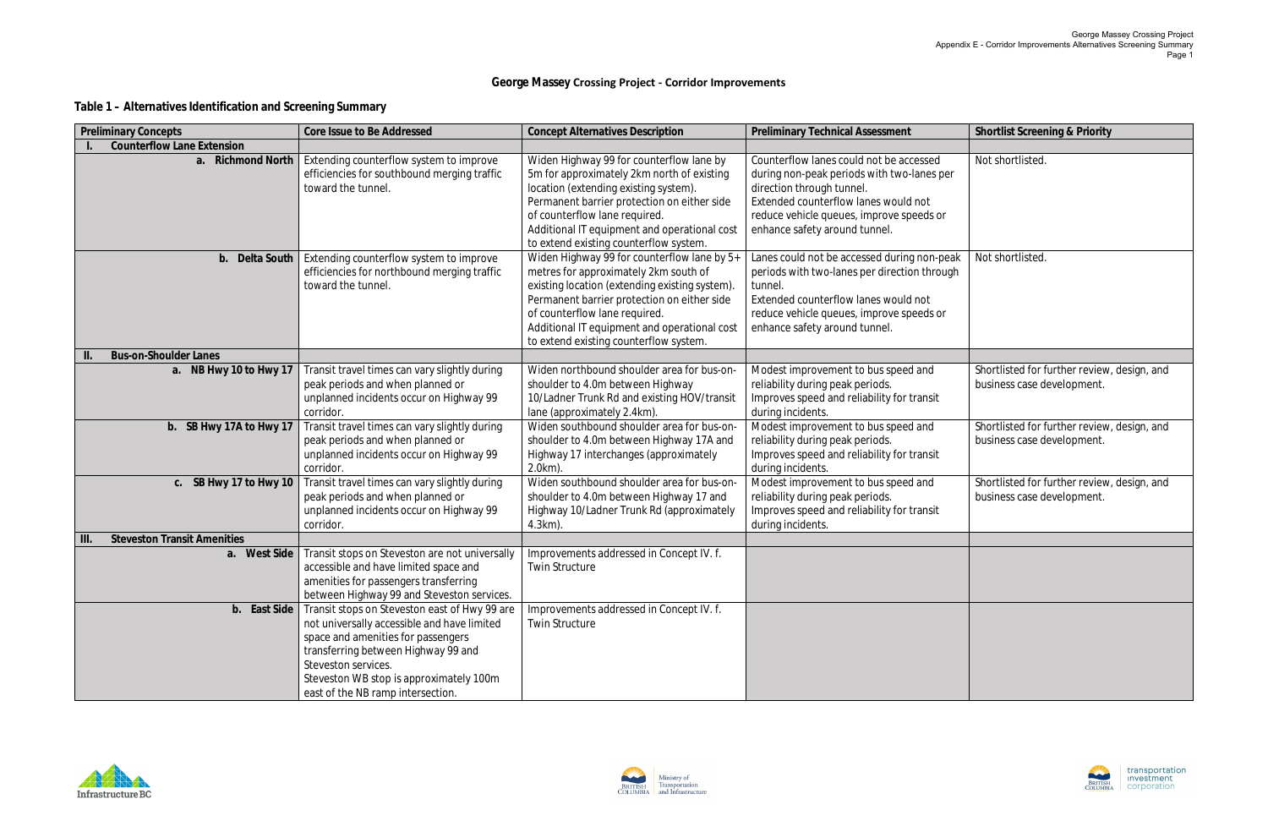## **George Massey Crossing Project - Corridor Improvements**

## **Table 1 – Alternatives Identification and Screening Summary**



| <b>Preliminary Concepts</b>        | Core Issue to Be Addressed                     | <b>Concept Alternatives Description</b>        | <b>Preliminary Technical Assessment</b>      | <b>Shortlist Screening &amp; Priority</b>   |
|------------------------------------|------------------------------------------------|------------------------------------------------|----------------------------------------------|---------------------------------------------|
| <b>Counterflow Lane Extension</b>  |                                                |                                                |                                              |                                             |
| a. Richmond North                  | Extending counterflow system to improve        | Widen Highway 99 for counterflow lane by       | Counterflow lanes could not be accessed      | Not shortlisted.                            |
|                                    | efficiencies for southbound merging traffic    | 5m for approximately 2km north of existing     | during non-peak periods with two-lanes per   |                                             |
|                                    | toward the tunnel.                             | location (extending existing system).          | direction through tunnel.                    |                                             |
|                                    |                                                | Permanent barrier protection on either side    | Extended counterflow lanes would not         |                                             |
|                                    |                                                | of counterflow lane required.                  | reduce vehicle queues, improve speeds or     |                                             |
|                                    |                                                | Additional IT equipment and operational cost   | enhance safety around tunnel.                |                                             |
|                                    |                                                | to extend existing counterflow system.         |                                              |                                             |
| b. Delta South                     | Extending counterflow system to improve        | Widen Highway 99 for counterflow lane by 5+    | Lanes could not be accessed during non-peak  | Not shortlisted.                            |
|                                    | efficiencies for northbound merging traffic    | metres for approximately 2km south of          | periods with two-lanes per direction through |                                             |
|                                    | toward the tunnel.                             | existing location (extending existing system). | tunnel.                                      |                                             |
|                                    |                                                | Permanent barrier protection on either side    | Extended counterflow lanes would not         |                                             |
|                                    |                                                | of counterflow lane required.                  | reduce vehicle queues, improve speeds or     |                                             |
|                                    |                                                | Additional IT equipment and operational cost   | enhance safety around tunnel.                |                                             |
| <b>Bus-on-Shoulder Lanes</b>       |                                                | to extend existing counterflow system.         |                                              |                                             |
| a. NB Hwy 10 to Hwy 17             | Transit travel times can vary slightly during  | Widen northbound shoulder area for bus-on-     | Modest improvement to bus speed and          | Shortlisted for further review, design, and |
|                                    | peak periods and when planned or               | shoulder to 4.0m between Highway               | reliability during peak periods.             | business case development.                  |
|                                    | unplanned incidents occur on Highway 99        | 10/Ladner Trunk Rd and existing HOV/transit    | Improves speed and reliability for transit   |                                             |
|                                    | corridor.                                      | lane (approximately 2.4km).                    | during incidents.                            |                                             |
| b. SB Hwy 17A to Hwy 17            | Transit travel times can vary slightly during  | Widen southbound shoulder area for bus-on      | Modest improvement to bus speed and          | Shortlisted for further review, design, and |
|                                    | peak periods and when planned or               | shoulder to 4.0m between Highway 17A and       | reliability during peak periods.             | business case development.                  |
|                                    | unplanned incidents occur on Highway 99        | Highway 17 interchanges (approximately         | Improves speed and reliability for transit   |                                             |
|                                    | corridor.                                      | $2.0km$ ).                                     | during incidents.                            |                                             |
| c. SB Hwy 17 to Hwy 10             | Transit travel times can vary slightly during  | Widen southbound shoulder area for bus-on      | Modest improvement to bus speed and          | Shortlisted for further review, design, and |
|                                    | peak periods and when planned or               | shoulder to 4.0m between Highway 17 and        | reliability during peak periods.             | business case development.                  |
|                                    | unplanned incidents occur on Highway 99        | Highway 10/Ladner Trunk Rd (approximately      | Improves speed and reliability for transit   |                                             |
|                                    | corridor.                                      | 4.3km).                                        | during incidents.                            |                                             |
| <b>Steveston Transit Amenities</b> |                                                |                                                |                                              |                                             |
| a. West Side                       | Transit stops on Steveston are not universally | Improvements addressed in Concept IV. f.       |                                              |                                             |
|                                    | accessible and have limited space and          | <b>Twin Structure</b>                          |                                              |                                             |
|                                    | amenities for passengers transferring          |                                                |                                              |                                             |
|                                    | between Highway 99 and Steveston services.     |                                                |                                              |                                             |
| b. East Side                       | Transit stops on Steveston east of Hwy 99 are  | Improvements addressed in Concept IV. f.       |                                              |                                             |
|                                    | not universally accessible and have limited    | <b>Twin Structure</b>                          |                                              |                                             |
|                                    | space and amenities for passengers             |                                                |                                              |                                             |
|                                    | transferring between Highway 99 and            |                                                |                                              |                                             |
|                                    | Steveston services.                            |                                                |                                              |                                             |
|                                    | Steveston WB stop is approximately 100m        |                                                |                                              |                                             |
|                                    | east of the NB ramp intersection.              |                                                |                                              |                                             |



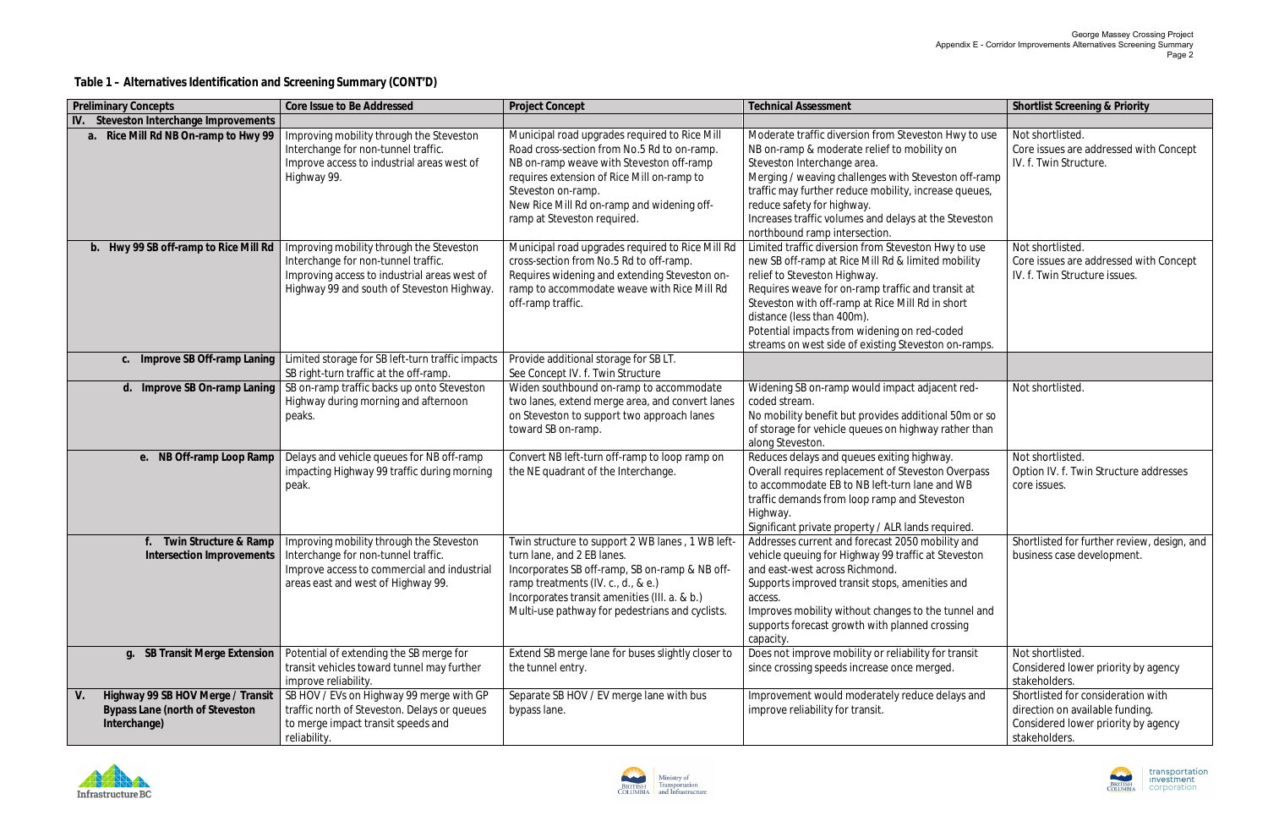**Table 1 – Alternatives Identification and Screening Summary (CONT'D)**



| Preliminary Concepts                                                                 | Core Issue to Be Addressed                                                                                                                                                                       | <b>Project Concept</b>                                                                                                                                                                                                                                                                    | <b>Technical Assessment</b>                                                                                                                                                                                                                                                                                                                                                              | Shortlist Screening & Priority                                                                                                |
|--------------------------------------------------------------------------------------|--------------------------------------------------------------------------------------------------------------------------------------------------------------------------------------------------|-------------------------------------------------------------------------------------------------------------------------------------------------------------------------------------------------------------------------------------------------------------------------------------------|------------------------------------------------------------------------------------------------------------------------------------------------------------------------------------------------------------------------------------------------------------------------------------------------------------------------------------------------------------------------------------------|-------------------------------------------------------------------------------------------------------------------------------|
| IV.<br>Steveston Interchange Improvements                                            |                                                                                                                                                                                                  |                                                                                                                                                                                                                                                                                           |                                                                                                                                                                                                                                                                                                                                                                                          |                                                                                                                               |
| a. Rice Mill Rd NB On-ramp to Hwy 99                                                 | Improving mobility through the Steveston<br>Interchange for non-tunnel traffic.<br>Improve access to industrial areas west of<br>Highway 99.                                                     | Municipal road upgrades required to Rice Mill<br>Road cross-section from No.5 Rd to on-ramp.<br>NB on-ramp weave with Steveston off-ramp<br>requires extension of Rice Mill on-ramp to<br>Steveston on-ramp.<br>New Rice Mill Rd on-ramp and widening off-<br>ramp at Steveston required. | Moderate traffic diversion from Steveston Hwy to use<br>NB on-ramp & moderate relief to mobility on<br>Steveston Interchange area.<br>Merging / weaving challenges with Steveston off-ramp<br>traffic may further reduce mobility, increase queues,<br>reduce safety for highway.<br>Increases traffic volumes and delays at the Steveston<br>northbound ramp intersection.              | Not shortlisted.<br>Core issues are addressed with Concept<br>IV. f. Twin Structure.                                          |
| b. Hwy 99 SB off-ramp to Rice Mill Rd                                                | Improving mobility through the Steveston<br>Interchange for non-tunnel traffic.<br>Improving access to industrial areas west of<br>Highway 99 and south of Steveston Highway.                    | Municipal road upgrades required to Rice Mill Rd<br>cross-section from No.5 Rd to off-ramp.<br>Requires widening and extending Steveston on-<br>ramp to accommodate weave with Rice Mill Rd<br>off-ramp traffic.                                                                          | Limited traffic diversion from Steveston Hwy to use<br>new SB off-ramp at Rice Mill Rd & limited mobility<br>relief to Steveston Highway.<br>Requires weave for on-ramp traffic and transit at<br>Steveston with off-ramp at Rice Mill Rd in short<br>distance (less than 400m).<br>Potential impacts from widening on red-coded<br>streams on west side of existing Steveston on-ramps. | Not shortlisted.<br>Core issues are addressed with Concept<br>IV. f. Twin Structure issues.                                   |
| c. Improve SB Off-ramp Laning                                                        | Limited storage for SB left-turn traffic impacts<br>SB right-turn traffic at the off-ramp.                                                                                                       | Provide additional storage for SBLT.<br>See Concept IV. f. Twin Structure                                                                                                                                                                                                                 |                                                                                                                                                                                                                                                                                                                                                                                          |                                                                                                                               |
| d. Improve SB On-ramp Laning                                                         | SB on-ramp traffic backs up onto Steveston<br>Highway during morning and afternoon<br>peaks.                                                                                                     | Widen southbound on-ramp to accommodate<br>two lanes, extend merge area, and convert lanes<br>on Steveston to support two approach lanes<br>toward SB on-ramp.                                                                                                                            | Widening SB on-ramp would impact adjacent red-<br>coded stream.<br>No mobility benefit but provides additional 50m or so<br>of storage for vehicle queues on highway rather than<br>along Steveston.                                                                                                                                                                                     | Not shortlisted.                                                                                                              |
| e. NB Off-ramp Loop Ramp                                                             | Delays and vehicle queues for NB off-ramp<br>impacting Highway 99 traffic during morning<br>peak.                                                                                                | Convert NB left-turn off-ramp to loop ramp on<br>the NE quadrant of the Interchange.                                                                                                                                                                                                      | Reduces delays and queues exiting highway.<br>Overall requires replacement of Steveston Overpass<br>to accommodate EB to NB left-turn lane and WB<br>traffic demands from loop ramp and Steveston<br>Highway.<br>Significant private property / ALR lands required.                                                                                                                      | Not shortlisted.<br>Option IV. f. Twin Structure addresses<br>core issues.                                                    |
| Twin Structure & Ramp                                                                | Improving mobility through the Steveston<br>Intersection Improvements   Interchange for non-tunnel traffic.<br>Improve access to commercial and industrial<br>areas east and west of Highway 99. | Twin structure to support 2 WB lanes, 1 WB left-<br>turn lane, and 2 EB lanes.<br>Incorporates SB off-ramp, SB on-ramp & NB off-<br>ramp treatments (IV. c., d., & e.)<br>Incorporates transit amenities (III. a. & b.)<br>Multi-use pathway for pedestrians and cyclists.                | Addresses current and forecast 2050 mobility and<br>vehicle queuing for Highway 99 traffic at Steveston<br>and east-west across Richmond.<br>Supports improved transit stops, amenities and<br>access.<br>Improves mobility without changes to the tunnel and<br>supports forecast growth with planned crossing<br>capacity.                                                             | Shortlisted for further review, design, and<br>business case development.                                                     |
| g. SB Transit Merge Extension                                                        | Potential of extending the SB merge for<br>transit vehicles toward tunnel may further<br>improve reliability.                                                                                    | Extend SB merge lane for buses slightly closer to<br>the tunnel entry.                                                                                                                                                                                                                    | Does not improve mobility or reliability for transit<br>since crossing speeds increase once merged.                                                                                                                                                                                                                                                                                      | Not shortlisted.<br>Considered lower priority by agency<br>stakeholders.                                                      |
| Highway 99 SB HOV Merge / Transit<br>Bypass Lane (north of Steveston<br>Interchange) | SB HOV / EVs on Highway 99 merge with GP<br>traffic north of Steveston. Delays or queues<br>to merge impact transit speeds and<br>reliability.                                                   | Separate SB HOV / EV merge lane with bus<br>bypass lane.                                                                                                                                                                                                                                  | Improvement would moderately reduce delays and<br>improve reliability for transit.                                                                                                                                                                                                                                                                                                       | Shortlisted for consideration with<br>direction on available funding.<br>Considered lower priority by agency<br>stakeholders. |